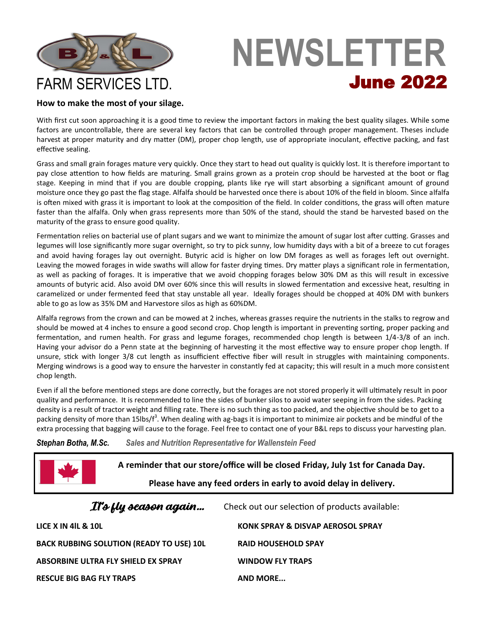

# **NEWSLETTER** June 2022

### **How to make the most of your silage.**

With first cut soon approaching it is a good time to review the important factors in making the best quality silages. While some factors are uncontrollable, there are several key factors that can be controlled through proper management. Theses include harvest at proper maturity and dry matter (DM), proper chop length, use of appropriate inoculant, effective packing, and fast effective sealing.

Grass and small grain forages mature very quickly. Once they start to head out quality is quickly lost. It is therefore important to pay close attention to how fields are maturing. Small grains grown as a protein crop should be harvested at the boot or flag stage. Keeping in mind that if you are double cropping, plants like rye will start absorbing a significant amount of ground moisture once they go past the flag stage. Alfalfa should be harvested once there is about 10% of the field in bloom. Since alfalfa is often mixed with grass it is important to look at the composition of the field. In colder conditions, the grass will often mature faster than the alfalfa. Only when grass represents more than 50% of the stand, should the stand be harvested based on the maturity of the grass to ensure good quality.

Fermentation relies on bacterial use of plant sugars and we want to minimize the amount of sugar lost after cutting. Grasses and legumes will lose significantly more sugar overnight, so try to pick sunny, low humidity days with a bit of a breeze to cut forages and avoid having forages lay out overnight. Butyric acid is higher on low DM forages as well as forages left out overnight. Leaving the mowed forages in wide swaths will allow for faster drying times. Dry matter plays a significant role in fermentation, as well as packing of forages. It is imperative that we avoid chopping forages below 30% DM as this will result in excessive amounts of butyric acid. Also avoid DM over 60% since this will results in slowed fermentation and excessive heat, resulting in caramelized or under fermented feed that stay unstable all year. Ideally forages should be chopped at 40% DM with bunkers able to go as low as 35% DM and Harvestore silos as high as 60%DM.

Alfalfa regrows from the crown and can be mowed at 2 inches, whereas grasses require the nutrients in the stalks to regrow and should be mowed at 4 inches to ensure a good second crop. Chop length is important in preventing sorting, proper packing and fermentation, and rumen health. For grass and legume forages, recommended chop length is between 1/4-3/8 of an inch. Having your advisor do a Penn state at the beginning of harvesting it the most effective way to ensure proper chop length. If unsure, stick with longer 3/8 cut length as insufficient effective fiber will result in struggles with maintaining components. Merging windrows is a good way to ensure the harvester in constantly fed at capacity; this will result in a much more consistent chop length.

Even if all the before mentioned steps are done correctly, but the forages are not stored properly it will ultimately result in poor quality and performance. It is recommended to line the sides of bunker silos to avoid water seeping in from the sides. Packing density is a result of tractor weight and filling rate. There is no such thing as too packed, and the objective should be to get to a packing density of more than 15lbs/f<sup>3</sup>. When dealing with ag-bags it is important to minimize air pockets and be mindful of the extra processing that bagging will cause to the forage. Feel free to contact one of your B&L reps to discuss your harvesting plan.

*Stephan Botha, M.Sc. Sales and Nutrition Representative for Wallenstein Feed* 

| A reminder that our store/office will be closed Friday, July 1st for Canada Day.<br>Please have any feed orders in early to avoid delay in delivery. |                                                |
|------------------------------------------------------------------------------------------------------------------------------------------------------|------------------------------------------------|
| It's fly season again                                                                                                                                | Check out our selection of products available: |
| LICE X IN 4IL & 10L                                                                                                                                  | KONK SPRAY & DISVAP AEROSOL SPRAY              |
| <b>BACK RUBBING SOLUTION (READY TO USE) 10L</b>                                                                                                      | <b>RAID HOUSEHOLD SPAY</b>                     |
| ABSORBINE ULTRA FLY SHIELD EX SPRAY                                                                                                                  | <b>WINDOW FLY TRAPS</b>                        |
| <b>RESCUE BIG BAG FLY TRAPS</b>                                                                                                                      | <b>AND MORE</b>                                |